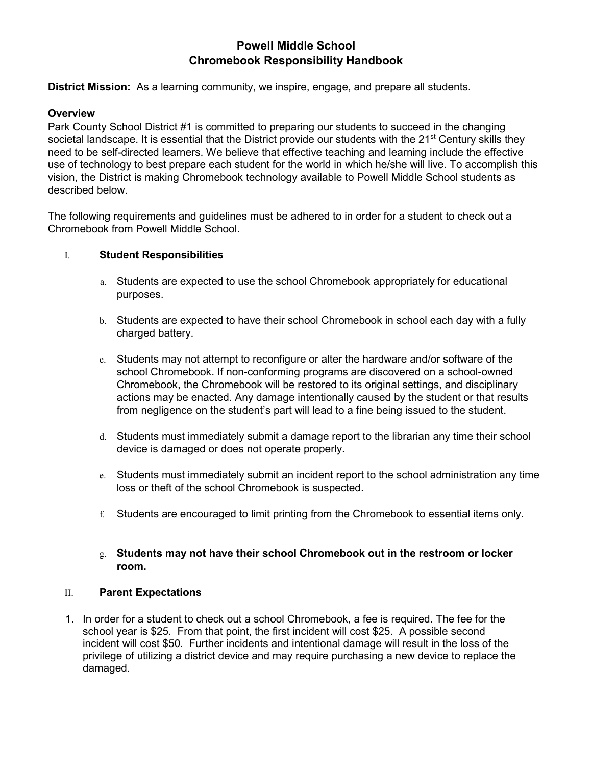# **Powell Middle School Chromebook Responsibility Handbook**

**District Mission:** As a learning community, we inspire, engage, and prepare all students.

### **Overview**

Park County School District #1 is committed to preparing our students to succeed in the changing societal landscape. It is essential that the District provide our students with the 21<sup>st</sup> Century skills they need to be self-directed learners. We believe that effective teaching and learning include the effective use of technology to best prepare each student for the world in which he/she will live. To accomplish this vision, the District is making Chromebook technology available to Powell Middle School students as described below.

The following requirements and guidelines must be adhered to in order for a student to check out a Chromebook from Powell Middle School.

### I. **Student Responsibilities**

- a. Students are expected to use the school Chromebook appropriately for educational purposes.
- b. Students are expected to have their school Chromebook in school each day with a fully charged battery.
- c. Students may not attempt to reconfigure or alter the hardware and/or software of the school Chromebook. If non-conforming programs are discovered on a school-owned Chromebook, the Chromebook will be restored to its original settings, and disciplinary actions may be enacted. Any damage intentionally caused by the student or that results from negligence on the student's part will lead to a fine being issued to the student.
- d. Students must immediately submit a damage report to the librarian any time their school device is damaged or does not operate properly.
- e. Students must immediately submit an incident report to the school administration any time loss or theft of the school Chromebook is suspected.
- f. Students are encouraged to limit printing from the Chromebook to essential items only.

## g. **Students may not have their school Chromebook out in the restroom or locker room.**

#### II. **Parent Expectations**

1. In order for a student to check out a school Chromebook, a fee is required. The fee for the school year is \$25. From that point, the first incident will cost \$25. A possible second incident will cost \$50. Further incidents and intentional damage will result in the loss of the privilege of utilizing a district device and may require purchasing a new device to replace the damaged.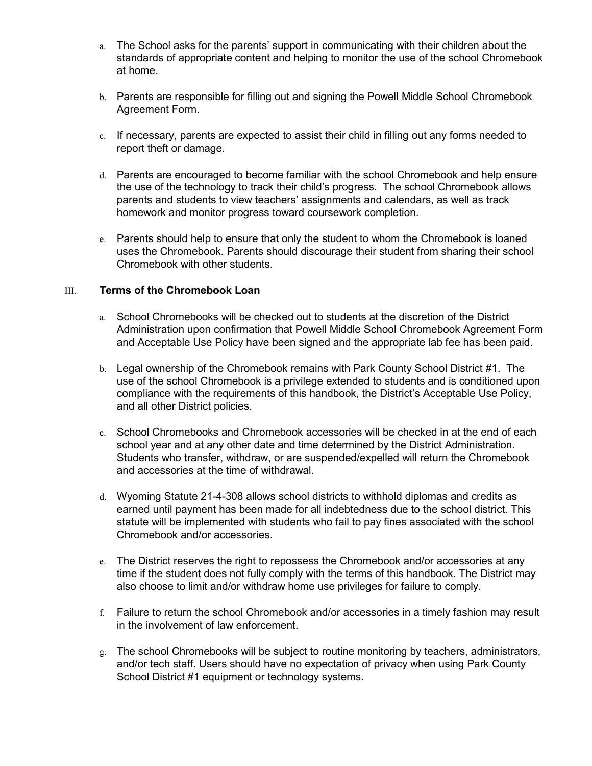- a. The School asks for the parents' support in communicating with their children about the standards of appropriate content and helping to monitor the use of the school Chromebook at home.
- b. Parents are responsible for filling out and signing the Powell Middle School Chromebook Agreement Form.
- c. If necessary, parents are expected to assist their child in filling out any forms needed to report theft or damage.
- d. Parents are encouraged to become familiar with the school Chromebook and help ensure the use of the technology to track their child's progress. The school Chromebook allows parents and students to view teachers' assignments and calendars, as well as track homework and monitor progress toward coursework completion.
- e. Parents should help to ensure that only the student to whom the Chromebook is loaned uses the Chromebook. Parents should discourage their student from sharing their school Chromebook with other students.

## III. **Terms of the Chromebook Loan**

- a. School Chromebooks will be checked out to students at the discretion of the District Administration upon confirmation that Powell Middle School Chromebook Agreement Form and Acceptable Use Policy have been signed and the appropriate lab fee has been paid.
- b. Legal ownership of the Chromebook remains with Park County School District #1. The use of the school Chromebook is a privilege extended to students and is conditioned upon compliance with the requirements of this handbook, the District's Acceptable Use Policy, and all other District policies.
- c. School Chromebooks and Chromebook accessories will be checked in at the end of each school year and at any other date and time determined by the District Administration. Students who transfer, withdraw, or are suspended/expelled will return the Chromebook and accessories at the time of withdrawal.
- d. Wyoming Statute 21-4-308 allows school districts to withhold diplomas and credits as earned until payment has been made for all indebtedness due to the school district. This statute will be implemented with students who fail to pay fines associated with the school Chromebook and/or accessories.
- e. The District reserves the right to repossess the Chromebook and/or accessories at any time if the student does not fully comply with the terms of this handbook. The District may also choose to limit and/or withdraw home use privileges for failure to comply.
- f. Failure to return the school Chromebook and/or accessories in a timely fashion may result in the involvement of law enforcement.
- g. The school Chromebooks will be subject to routine monitoring by teachers, administrators, and/or tech staff. Users should have no expectation of privacy when using Park County School District #1 equipment or technology systems.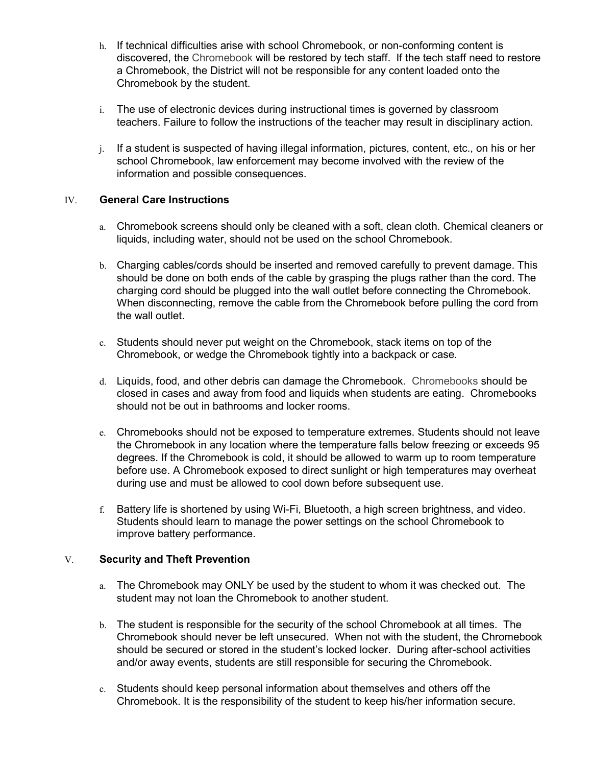- h. If technical difficulties arise with school Chromebook, or non-conforming content is discovered, the Chromebook will be restored by tech staff. If the tech staff need to restore a Chromebook, the District will not be responsible for any content loaded onto the Chromebook by the student.
- i. The use of electronic devices during instructional times is governed by classroom teachers. Failure to follow the instructions of the teacher may result in disciplinary action.
- j. If a student is suspected of having illegal information, pictures, content, etc., on his or her school Chromebook, law enforcement may become involved with the review of the information and possible consequences.

## IV. **General Care Instructions**

- a. Chromebook screens should only be cleaned with a soft, clean cloth. Chemical cleaners or liquids, including water, should not be used on the school Chromebook.
- b. Charging cables/cords should be inserted and removed carefully to prevent damage. This should be done on both ends of the cable by grasping the plugs rather than the cord. The charging cord should be plugged into the wall outlet before connecting the Chromebook. When disconnecting, remove the cable from the Chromebook before pulling the cord from the wall outlet.
- c. Students should never put weight on the Chromebook, stack items on top of the Chromebook, or wedge the Chromebook tightly into a backpack or case.
- d. Liquids, food, and other debris can damage the Chromebook. Chromebooks should be closed in cases and away from food and liquids when students are eating. Chromebooks should not be out in bathrooms and locker rooms.
- e. Chromebooks should not be exposed to temperature extremes. Students should not leave the Chromebook in any location where the temperature falls below freezing or exceeds 95 degrees. If the Chromebook is cold, it should be allowed to warm up to room temperature before use. A Chromebook exposed to direct sunlight or high temperatures may overheat during use and must be allowed to cool down before subsequent use.
- f. Battery life is shortened by using Wi-Fi, Bluetooth, a high screen brightness, and video. Students should learn to manage the power settings on the school Chromebook to improve battery performance.

#### V. **Security and Theft Prevention**

- a. The Chromebook may ONLY be used by the student to whom it was checked out. The student may not loan the Chromebook to another student.
- b. The student is responsible for the security of the school Chromebook at all times. The Chromebook should never be left unsecured. When not with the student, the Chromebook should be secured or stored in the student's locked locker. During after-school activities and/or away events, students are still responsible for securing the Chromebook.
- c. Students should keep personal information about themselves and others off the Chromebook. It is the responsibility of the student to keep his/her information secure.